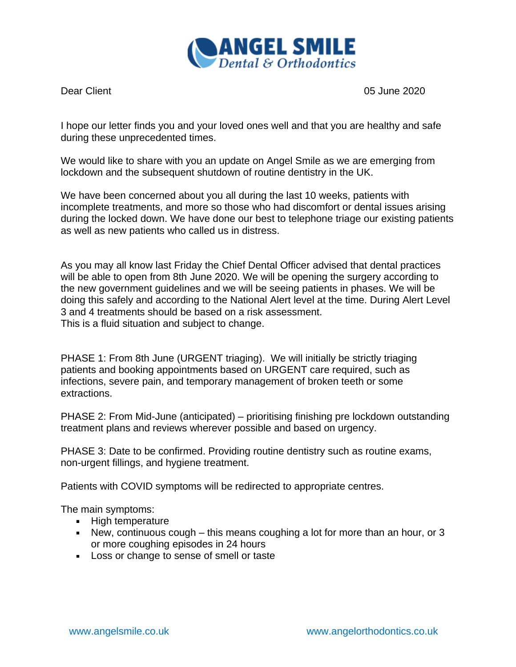

Dear Client 2020

I hope our letter finds you and your loved ones well and that you are healthy and safe during these unprecedented times.

We would like to share with you an update on Angel Smile as we are emerging from lockdown and the subsequent shutdown of routine dentistry in the UK.

We have been concerned about you all during the last 10 weeks, patients with incomplete treatments, and more so those who had discomfort or dental issues arising during the locked down. We have done our best to telephone triage our existing patients as well as new patients who called us in distress.

As you may all know last Friday the Chief Dental Officer advised that dental practices will be able to open from 8th June 2020. We will be opening the surgery according to the new government guidelines and we will be seeing patients in phases. We will be doing this safely and according to the National Alert level at the time. During Alert Level 3 and 4 treatments should be based on a risk assessment. This is a fluid situation and subject to change.

PHASE 1: From 8th June (URGENT triaging). We will initially be strictly triaging patients and booking appointments based on URGENT care required, such as infections, severe pain, and temporary management of broken teeth or some extractions.

PHASE 2: From Mid-June (anticipated) – prioritising finishing pre lockdown outstanding treatment plans and reviews wherever possible and based on urgency.

PHASE 3: Date to be confirmed. Providing routine dentistry such as routine exams, non-urgent fillings, and hygiene treatment.

Patients with COVID symptoms will be redirected to appropriate centres.

The main symptoms:

- **High temperature**
- New, continuous cough this means coughing a lot for more than an hour, or 3 or more coughing episodes in 24 hours
- **Loss or change to sense of smell or taste**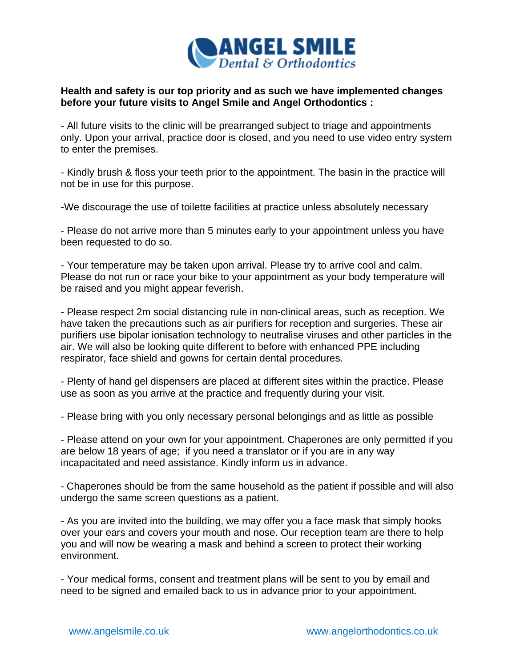

## **Health and safety is our top priority and as such we have implemented changes before your future visits to Angel Smile and Angel Orthodontics :**

- All future visits to the clinic will be prearranged subject to triage and appointments only. Upon your arrival, practice door is closed, and you need to use video entry system to enter the premises.

- Kindly brush & floss your teeth prior to the appointment. The basin in the practice will not be in use for this purpose.

-We discourage the use of toilette facilities at practice unless absolutely necessary

- Please do not arrive more than 5 minutes early to your appointment unless you have been requested to do so.

- Your temperature may be taken upon arrival. Please try to arrive cool and calm. Please do not run or race your bike to your appointment as your body temperature will be raised and you might appear feverish.

- Please respect 2m social distancing rule in non-clinical areas, such as reception. We have taken the precautions such as air purifiers for reception and surgeries. These air purifiers use bipolar ionisation technology to neutralise viruses and other particles in the air. We will also be looking quite different to before with enhanced PPE including respirator, face shield and gowns for certain dental procedures.

- Plenty of hand gel dispensers are placed at different sites within the practice. Please use as soon as you arrive at the practice and frequently during your visit.

- Please bring with you only necessary personal belongings and as little as possible

- Please attend on your own for your appointment. Chaperones are only permitted if you are below 18 years of age; if you need a translator or if you are in any way incapacitated and need assistance. Kindly inform us in advance.

- Chaperones should be from the same household as the patient if possible and will also undergo the same screen questions as a patient.

- As you are invited into the building, we may offer you a face mask that simply hooks over your ears and covers your mouth and nose. Our reception team are there to help you and will now be wearing a mask and behind a screen to protect their working environment.

- Your medical forms, consent and treatment plans will be sent to you by email and need to be signed and emailed back to us in advance prior to your appointment.